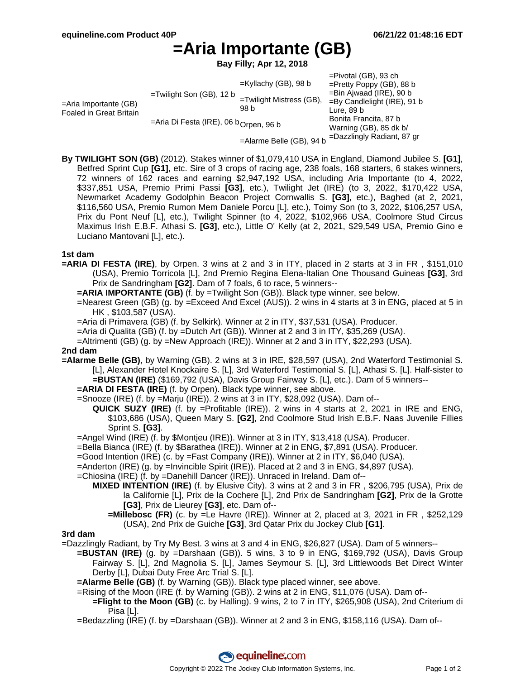# **=Aria Importante (GB)**

**Bay Filly; Apr 12, 2018**

|                                                            |                                                   |                                  | $=$ Pivotal (GB), 93 ch        |
|------------------------------------------------------------|---------------------------------------------------|----------------------------------|--------------------------------|
| $=$ Aria Importante (GB)<br><b>Foaled in Great Britain</b> | $=$ Twilight Son (GB), 12 b                       | $=$ Kyllachy (GB), 98 b          | $=$ Pretty Poppy (GB), 88 b    |
|                                                            |                                                   | =Twilight Mistress (GB),<br>98 b | $=$ Bin Ajwaad (IRE), 90 b     |
|                                                            |                                                   |                                  | $=$ By Candlelight (IRE), 91 b |
|                                                            |                                                   |                                  | Lure, 89 b                     |
|                                                            | =Aria Di Festa (IRE), 06 b <sub>Orpen,</sub> 96 b |                                  | Bonita Francita, 87 b          |
|                                                            |                                                   |                                  | Warning (GB), 85 dk b/         |
|                                                            |                                                   | =Alarme Belle (GB), 94 b         | =Dazzlingly Radiant, 87 gr     |

**By TWILIGHT SON (GB)** (2012). Stakes winner of \$1,079,410 USA in England, Diamond Jubilee S. **[G1]**, Betfred Sprint Cup **[G1]**, etc. Sire of 3 crops of racing age, 238 foals, 168 starters, 6 stakes winners, 72 winners of 162 races and earning \$2,947,192 USA, including Aria Importante (to 4, 2022, \$337,851 USA, Premio Primi Passi **[G3]**, etc.), Twilight Jet (IRE) (to 3, 2022, \$170,422 USA, Newmarket Academy Godolphin Beacon Project Cornwallis S. **[G3]**, etc.), Baghed (at 2, 2021, \$116,560 USA, Premio Rumon Mem Daniele Porcu [L], etc.), Toimy Son (to 3, 2022, \$106,257 USA, Prix du Pont Neuf [L], etc.), Twilight Spinner (to 4, 2022, \$102,966 USA, Coolmore Stud Circus Maximus Irish E.B.F. Athasi S. **[G3]**, etc.), Little O' Kelly (at 2, 2021, \$29,549 USA, Premio Gino e Luciano Mantovani [L], etc.).

### **1st dam**

- **=ARIA DI FESTA (IRE)**, by Orpen. 3 wins at 2 and 3 in ITY, placed in 2 starts at 3 in FR , \$151,010 (USA), Premio Torricola [L], 2nd Premio Regina Elena-Italian One Thousand Guineas **[G3]**, 3rd Prix de Sandringham **[G2]**. Dam of 7 foals, 6 to race, 5 winners--
	- **=ARIA IMPORTANTE (GB)** (f. by =Twilight Son (GB)). Black type winner, see below.
	- =Nearest Green (GB) (g. by =Exceed And Excel (AUS)). 2 wins in 4 starts at 3 in ENG, placed at 5 in HK , \$103,587 (USA).
	- =Aria di Primavera (GB) (f. by Selkirk). Winner at 2 in ITY, \$37,531 (USA). Producer.
	- =Aria di Qualita (GB) (f. by =Dutch Art (GB)). Winner at 2 and 3 in ITY, \$35,269 (USA).
	- =Altrimenti (GB) (g. by =New Approach (IRE)). Winner at 2 and 3 in ITY, \$22,293 (USA).

#### **2nd dam**

- **=Alarme Belle (GB)**, by Warning (GB). 2 wins at 3 in IRE, \$28,597 (USA), 2nd Waterford Testimonial S. [L], Alexander Hotel Knockaire S. [L], 3rd Waterford Testimonial S. [L], Athasi S. [L]. Half-sister to **=BUSTAN (IRE)** (\$169,792 (USA), Davis Group Fairway S. [L], etc.). Dam of 5 winners--
	- **=ARIA DI FESTA (IRE)** (f. by Orpen). Black type winner, see above.
	- =Snooze (IRE) (f. by =Marju (IRE)). 2 wins at 3 in ITY, \$28,092 (USA). Dam of--
		- **QUICK SUZY (IRE)** (f. by =Profitable (IRE)). 2 wins in 4 starts at 2, 2021 in IRE and ENG, \$103,686 (USA), Queen Mary S. **[G2]**, 2nd Coolmore Stud Irish E.B.F. Naas Juvenile Fillies Sprint S. **[G3]**.
	- =Angel Wind (IRE) (f. by \$Montjeu (IRE)). Winner at 3 in ITY, \$13,418 (USA). Producer.
	- =Bella Bianca (IRE) (f. by \$Barathea (IRE)). Winner at 2 in ENG, \$7,891 (USA). Producer.
	- =Good Intention (IRE) (c. by =Fast Company (IRE)). Winner at 2 in ITY, \$6,040 (USA).
	- =Anderton (IRE) (g. by =Invincible Spirit (IRE)). Placed at 2 and 3 in ENG, \$4,897 (USA).
	- =Chiosina (IRE) (f. by =Danehill Dancer (IRE)). Unraced in Ireland. Dam of--
		- **MIXED INTENTION (IRE)** (f. by Elusive City). 3 wins at 2 and 3 in FR , \$206,795 (USA), Prix de la Californie [L], Prix de la Cochere [L], 2nd Prix de Sandringham **[G2]**, Prix de la Grotte **[G3]**, Prix de Lieurey **[G3]**, etc. Dam of--
			- **=Millebosc (FR)** (c. by =Le Havre (IRE)). Winner at 2, placed at 3, 2021 in FR , \$252,129 (USA), 2nd Prix de Guiche **[G3]**, 3rd Qatar Prix du Jockey Club **[G1]**.

#### **3rd dam**

- =Dazzlingly Radiant, by Try My Best. 3 wins at 3 and 4 in ENG, \$26,827 (USA). Dam of 5 winners--
	- **=BUSTAN (IRE)** (g. by =Darshaan (GB)). 5 wins, 3 to 9 in ENG, \$169,792 (USA), Davis Group Fairway S. [L], 2nd Magnolia S. [L], James Seymour S. [L], 3rd Littlewoods Bet Direct Winter Derby [L], Dubai Duty Free Arc Trial S. [L].
	- **=Alarme Belle (GB)** (f. by Warning (GB)). Black type placed winner, see above.
	- =Rising of the Moon (IRE (f. by Warning (GB)). 2 wins at 2 in ENG, \$11,076 (USA). Dam of-- **=Flight to the Moon (GB)** (c. by Halling). 9 wins, 2 to 7 in ITY, \$265,908 (USA), 2nd Criterium di Pisa [L].
	- =Bedazzling (IRE) (f. by =Darshaan (GB)). Winner at 2 and 3 in ENG, \$158,116 (USA). Dam of--